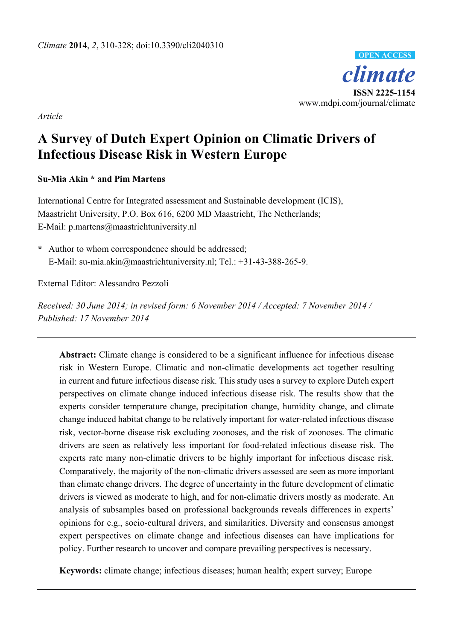

*Article* 

# **A Survey of Dutch Expert Opinion on Climatic Drivers of Infectious Disease Risk in Western Europe**

## **Su-Mia Akin \* and Pim Martens**

International Centre for Integrated assessment and Sustainable development (ICIS), Maastricht University, P.O. Box 616, 6200 MD Maastricht, The Netherlands; E-Mail: p.martens@maastrichtuniversity.nl

**\*** Author to whom correspondence should be addressed; E-Mail: su-mia.akin@maastrichtuniversity.nl; Tel.: +31-43-388-265-9.

External Editor: Alessandro Pezzoli

*Received: 30 June 2014; in revised form: 6 November 2014 / Accepted: 7 November 2014 / Published: 17 November 2014* 

**Abstract:** Climate change is considered to be a significant influence for infectious disease risk in Western Europe. Climatic and non-climatic developments act together resulting in current and future infectious disease risk. This study uses a survey to explore Dutch expert perspectives on climate change induced infectious disease risk. The results show that the experts consider temperature change, precipitation change, humidity change, and climate change induced habitat change to be relatively important for water-related infectious disease risk, vector-borne disease risk excluding zoonoses, and the risk of zoonoses. The climatic drivers are seen as relatively less important for food-related infectious disease risk. The experts rate many non-climatic drivers to be highly important for infectious disease risk. Comparatively, the majority of the non-climatic drivers assessed are seen as more important than climate change drivers. The degree of uncertainty in the future development of climatic drivers is viewed as moderate to high, and for non-climatic drivers mostly as moderate. An analysis of subsamples based on professional backgrounds reveals differences in experts' opinions for e.g., socio-cultural drivers, and similarities. Diversity and consensus amongst expert perspectives on climate change and infectious diseases can have implications for policy. Further research to uncover and compare prevailing perspectives is necessary.

**Keywords:** climate change; infectious diseases; human health; expert survey; Europe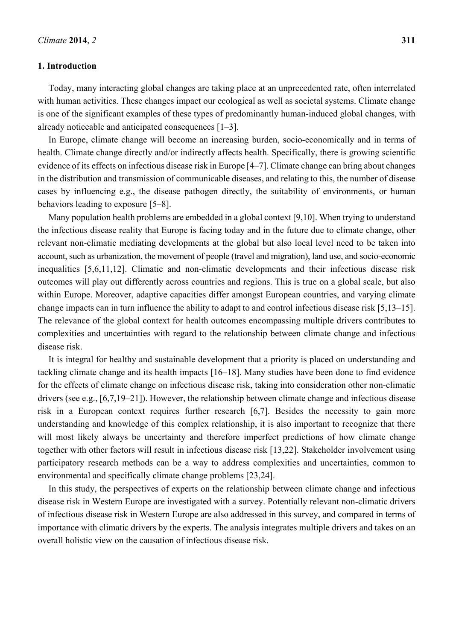#### **1. Introduction**

Today, many interacting global changes are taking place at an unprecedented rate, often interrelated with human activities. These changes impact our ecological as well as societal systems. Climate change is one of the significant examples of these types of predominantly human-induced global changes, with already noticeable and anticipated consequences [1–3].

In Europe, climate change will become an increasing burden, socio-economically and in terms of health. Climate change directly and/or indirectly affects health. Specifically, there is growing scientific evidence of its effects on infectious disease risk in Europe [4–7]. Climate change can bring about changes in the distribution and transmission of communicable diseases, and relating to this, the number of disease cases by influencing e.g., the disease pathogen directly, the suitability of environments, or human behaviors leading to exposure [5–8].

Many population health problems are embedded in a global context [9,10]. When trying to understand the infectious disease reality that Europe is facing today and in the future due to climate change, other relevant non-climatic mediating developments at the global but also local level need to be taken into account, such as urbanization, the movement of people (travel and migration), land use, and socio-economic inequalities [5,6,11,12]. Climatic and non-climatic developments and their infectious disease risk outcomes will play out differently across countries and regions. This is true on a global scale, but also within Europe. Moreover, adaptive capacities differ amongst European countries, and varying climate change impacts can in turn influence the ability to adapt to and control infectious disease risk [5,13–15]. The relevance of the global context for health outcomes encompassing multiple drivers contributes to complexities and uncertainties with regard to the relationship between climate change and infectious disease risk.

It is integral for healthy and sustainable development that a priority is placed on understanding and tackling climate change and its health impacts [16–18]. Many studies have been done to find evidence for the effects of climate change on infectious disease risk, taking into consideration other non-climatic drivers (see e.g., [6,7,19–21]). However, the relationship between climate change and infectious disease risk in a European context requires further research [6,7]. Besides the necessity to gain more understanding and knowledge of this complex relationship, it is also important to recognize that there will most likely always be uncertainty and therefore imperfect predictions of how climate change together with other factors will result in infectious disease risk [13,22]. Stakeholder involvement using participatory research methods can be a way to address complexities and uncertainties, common to environmental and specifically climate change problems [23,24].

In this study, the perspectives of experts on the relationship between climate change and infectious disease risk in Western Europe are investigated with a survey. Potentially relevant non-climatic drivers of infectious disease risk in Western Europe are also addressed in this survey, and compared in terms of importance with climatic drivers by the experts. The analysis integrates multiple drivers and takes on an overall holistic view on the causation of infectious disease risk.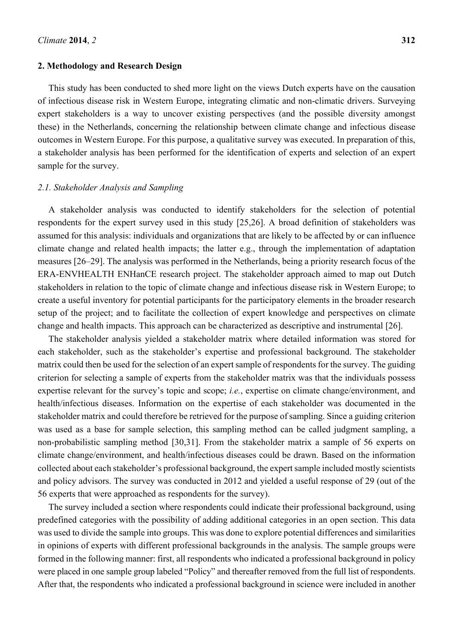#### **2. Methodology and Research Design**

This study has been conducted to shed more light on the views Dutch experts have on the causation of infectious disease risk in Western Europe, integrating climatic and non-climatic drivers. Surveying expert stakeholders is a way to uncover existing perspectives (and the possible diversity amongst these) in the Netherlands, concerning the relationship between climate change and infectious disease outcomes in Western Europe. For this purpose, a qualitative survey was executed. In preparation of this, a stakeholder analysis has been performed for the identification of experts and selection of an expert sample for the survey.

#### *2.1. Stakeholder Analysis and Sampling*

A stakeholder analysis was conducted to identify stakeholders for the selection of potential respondents for the expert survey used in this study [25,26]. A broad definition of stakeholders was assumed for this analysis: individuals and organizations that are likely to be affected by or can influence climate change and related health impacts; the latter e.g., through the implementation of adaptation measures [26–29]. The analysis was performed in the Netherlands, being a priority research focus of the ERA-ENVHEALTH ENHanCE research project. The stakeholder approach aimed to map out Dutch stakeholders in relation to the topic of climate change and infectious disease risk in Western Europe; to create a useful inventory for potential participants for the participatory elements in the broader research setup of the project; and to facilitate the collection of expert knowledge and perspectives on climate change and health impacts. This approach can be characterized as descriptive and instrumental [26].

The stakeholder analysis yielded a stakeholder matrix where detailed information was stored for each stakeholder, such as the stakeholder's expertise and professional background. The stakeholder matrix could then be used for the selection of an expert sample of respondents for the survey. The guiding criterion for selecting a sample of experts from the stakeholder matrix was that the individuals possess expertise relevant for the survey's topic and scope; *i.e.*, expertise on climate change/environment, and health/infectious diseases. Information on the expertise of each stakeholder was documented in the stakeholder matrix and could therefore be retrieved for the purpose of sampling. Since a guiding criterion was used as a base for sample selection, this sampling method can be called judgment sampling, a non-probabilistic sampling method [30,31]. From the stakeholder matrix a sample of 56 experts on climate change/environment, and health/infectious diseases could be drawn. Based on the information collected about each stakeholder's professional background, the expert sample included mostly scientists and policy advisors. The survey was conducted in 2012 and yielded a useful response of 29 (out of the 56 experts that were approached as respondents for the survey).

The survey included a section where respondents could indicate their professional background, using predefined categories with the possibility of adding additional categories in an open section. This data was used to divide the sample into groups. This was done to explore potential differences and similarities in opinions of experts with different professional backgrounds in the analysis. The sample groups were formed in the following manner: first, all respondents who indicated a professional background in policy were placed in one sample group labeled "Policy" and thereafter removed from the full list of respondents. After that, the respondents who indicated a professional background in science were included in another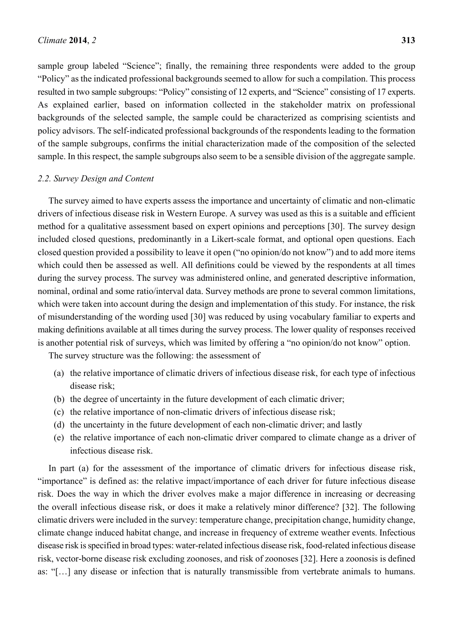sample group labeled "Science"; finally, the remaining three respondents were added to the group "Policy" as the indicated professional backgrounds seemed to allow for such a compilation. This process resulted in two sample subgroups: "Policy" consisting of 12 experts, and "Science" consisting of 17 experts. As explained earlier, based on information collected in the stakeholder matrix on professional backgrounds of the selected sample, the sample could be characterized as comprising scientists and policy advisors. The self-indicated professional backgrounds of the respondents leading to the formation of the sample subgroups, confirms the initial characterization made of the composition of the selected sample. In this respect, the sample subgroups also seem to be a sensible division of the aggregate sample.

#### *2.2. Survey Design and Content*

The survey aimed to have experts assess the importance and uncertainty of climatic and non-climatic drivers of infectious disease risk in Western Europe. A survey was used as this is a suitable and efficient method for a qualitative assessment based on expert opinions and perceptions [30]. The survey design included closed questions, predominantly in a Likert-scale format, and optional open questions. Each closed question provided a possibility to leave it open ("no opinion/do not know") and to add more items which could then be assessed as well. All definitions could be viewed by the respondents at all times during the survey process. The survey was administered online, and generated descriptive information, nominal, ordinal and some ratio/interval data. Survey methods are prone to several common limitations, which were taken into account during the design and implementation of this study. For instance, the risk of misunderstanding of the wording used [30] was reduced by using vocabulary familiar to experts and making definitions available at all times during the survey process. The lower quality of responses received is another potential risk of surveys, which was limited by offering a "no opinion/do not know" option.

The survey structure was the following: the assessment of

- (a) the relative importance of climatic drivers of infectious disease risk, for each type of infectious disease risk;
- (b) the degree of uncertainty in the future development of each climatic driver;
- (c) the relative importance of non-climatic drivers of infectious disease risk;
- (d) the uncertainty in the future development of each non-climatic driver; and lastly
- (e) the relative importance of each non-climatic driver compared to climate change as a driver of infectious disease risk.

In part (a) for the assessment of the importance of climatic drivers for infectious disease risk, "importance" is defined as: the relative impact/importance of each driver for future infectious disease risk. Does the way in which the driver evolves make a major difference in increasing or decreasing the overall infectious disease risk, or does it make a relatively minor difference? [32]. The following climatic drivers were included in the survey: temperature change, precipitation change, humidity change, climate change induced habitat change, and increase in frequency of extreme weather events. Infectious disease risk is specified in broad types: water-related infectious disease risk, food-related infectious disease risk, vector-borne disease risk excluding zoonoses, and risk of zoonoses [32]. Here a zoonosis is defined as: "[…] any disease or infection that is naturally transmissible from vertebrate animals to humans.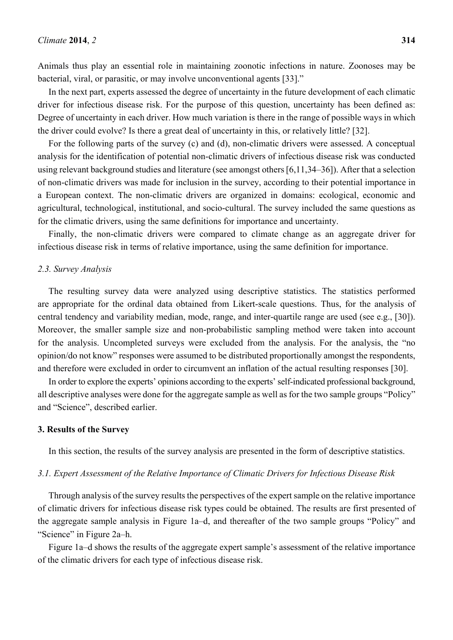Animals thus play an essential role in maintaining zoonotic infections in nature. Zoonoses may be bacterial, viral, or parasitic, or may involve unconventional agents [33]."

In the next part, experts assessed the degree of uncertainty in the future development of each climatic driver for infectious disease risk. For the purpose of this question, uncertainty has been defined as: Degree of uncertainty in each driver. How much variation is there in the range of possible ways in which the driver could evolve? Is there a great deal of uncertainty in this, or relatively little? [32].

For the following parts of the survey (c) and (d), non-climatic drivers were assessed. A conceptual analysis for the identification of potential non-climatic drivers of infectious disease risk was conducted using relevant background studies and literature (see amongst others [6,11,34–36]). After that a selection of non-climatic drivers was made for inclusion in the survey, according to their potential importance in a European context. The non-climatic drivers are organized in domains: ecological, economic and agricultural, technological, institutional, and socio-cultural. The survey included the same questions as for the climatic drivers, using the same definitions for importance and uncertainty.

Finally, the non-climatic drivers were compared to climate change as an aggregate driver for infectious disease risk in terms of relative importance, using the same definition for importance.

#### *2.3. Survey Analysis*

The resulting survey data were analyzed using descriptive statistics. The statistics performed are appropriate for the ordinal data obtained from Likert-scale questions. Thus, for the analysis of central tendency and variability median, mode, range, and inter-quartile range are used (see e.g., [30]). Moreover, the smaller sample size and non-probabilistic sampling method were taken into account for the analysis. Uncompleted surveys were excluded from the analysis. For the analysis, the "no opinion/do not know" responses were assumed to be distributed proportionally amongst the respondents, and therefore were excluded in order to circumvent an inflation of the actual resulting responses [30].

In order to explore the experts' opinions according to the experts' self-indicated professional background, all descriptive analyses were done for the aggregate sample as well as for the two sample groups "Policy" and "Science", described earlier.

#### **3. Results of the Survey**

In this section, the results of the survey analysis are presented in the form of descriptive statistics.

#### *3.1. Expert Assessment of the Relative Importance of Climatic Drivers for Infectious Disease Risk*

Through analysis of the survey results the perspectives of the expert sample on the relative importance of climatic drivers for infectious disease risk types could be obtained. The results are first presented of the aggregate sample analysis in Figure 1a–d, and thereafter of the two sample groups "Policy" and "Science" in Figure 2a–h.

Figure 1a–d shows the results of the aggregate expert sample's assessment of the relative importance of the climatic drivers for each type of infectious disease risk.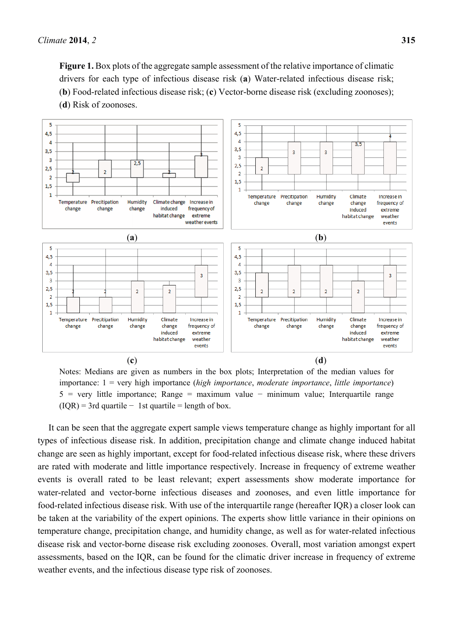

Notes: Medians are given as numbers in the box plots; Interpretation of the median values for importance: 1 = very high importance (*high importance*, *moderate importance*, *little importance*) 5 = very little importance; Range = maximum value − minimum value; Interquartile range  $(IQR) = 3rd$  quartile  $- 1st$  quartile = length of box.

It can be seen that the aggregate expert sample views temperature change as highly important for all types of infectious disease risk. In addition, precipitation change and climate change induced habitat change are seen as highly important, except for food-related infectious disease risk, where these drivers are rated with moderate and little importance respectively. Increase in frequency of extreme weather events is overall rated to be least relevant; expert assessments show moderate importance for water-related and vector-borne infectious diseases and zoonoses, and even little importance for food-related infectious disease risk. With use of the interquartile range (hereafter IQR) a closer look can be taken at the variability of the expert opinions. The experts show little variance in their opinions on temperature change, precipitation change, and humidity change, as well as for water-related infectious disease risk and vector-borne disease risk excluding zoonoses. Overall, most variation amongst expert assessments, based on the IQR, can be found for the climatic driver increase in frequency of extreme weather events, and the infectious disease type risk of zoonoses.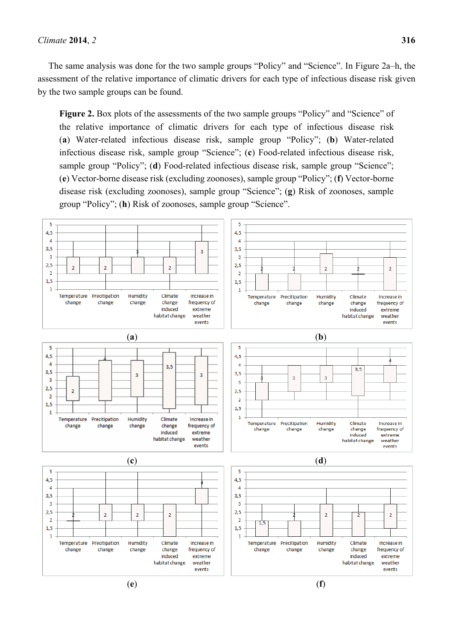The same analysis was done for the two sample groups "Policy" and "Science". In Figure 2a–h, the assessment of the relative importance of climatic drivers for each type of infectious disease risk given by the two sample groups can be found.

Figure 2. Box plots of the assessments of the two sample groups "Policy" and "Science" of the relative importance of climatic drivers for each type of infectious disease risk (**a**) Water-related infectious disease risk, sample group "Policy"; (**b**) Water-related infectious disease risk, sample group "Science"; (**c**) Food-related infectious disease risk, sample group "Policy"; (d) Food-related infectious disease risk, sample group "Science"; (**e**) Vector-borne disease risk (excluding zoonoses), sample group "Policy"; (**f**) Vector-borne disease risk (excluding zoonoses), sample group "Science"; (**g**) Risk of zoonoses, sample group "Policy"; (**h**) Risk of zoonoses, sample group "Science".

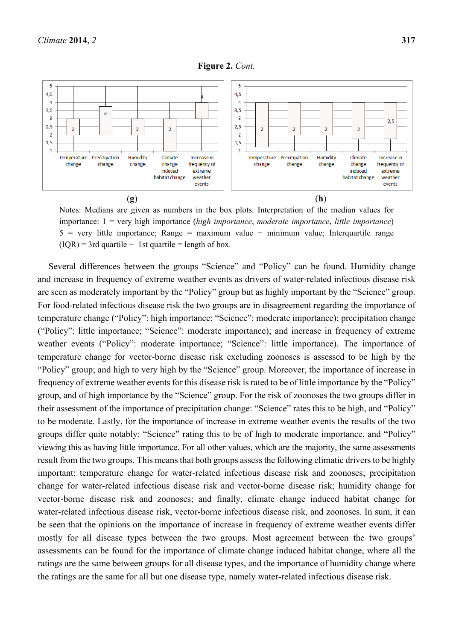

Notes: Medians are given as numbers in the box plots. Interpretation of the median values for importance: 1 = very high importance (*high importance*, *moderate importance*, *little importance*) 5 = very little importance; Range = maximum value − minimum value; Interquartile range  $(IQR) = 3rd$  quartile  $- 1st$  quartile = length of box.

Several differences between the groups "Science" and "Policy" can be found. Humidity change and increase in frequency of extreme weather events as drivers of water-related infectious disease risk are seen as moderately important by the "Policy" group but as highly important by the "Science" group. For food-related infectious disease risk the two groups are in disagreement regarding the importance of temperature change ("Policy": high importance; "Science": moderate importance); precipitation change ("Policy": little importance; "Science": moderate importance); and increase in frequency of extreme weather events ("Policy": moderate importance; "Science": little importance). The importance of temperature change for vector-borne disease risk excluding zoonoses is assessed to be high by the "Policy" group; and high to very high by the "Science" group. Moreover, the importance of increase in frequency of extreme weather events for this disease risk is rated to be of little importance by the "Policy" group, and of high importance by the "Science" group. For the risk of zoonoses the two groups differ in their assessment of the importance of precipitation change: "Science" rates this to be high, and "Policy" to be moderate. Lastly, for the importance of increase in extreme weather events the results of the two groups differ quite notably: "Science" rating this to be of high to moderate importance, and "Policy" viewing this as having little importance. For all other values, which are the majority, the same assessments result from the two groups. This means that both groups assess the following climatic drivers to be highly important: temperature change for water-related infectious disease risk and zoonoses; precipitation change for water-related infectious disease risk and vector-borne disease risk; humidity change for vector-borne disease risk and zoonoses; and finally, climate change induced habitat change for water-related infectious disease risk, vector-borne infectious disease risk, and zoonoses. In sum, it can be seen that the opinions on the importance of increase in frequency of extreme weather events differ mostly for all disease types between the two groups. Most agreement between the two groups' assessments can be found for the importance of climate change induced habitat change, where all the ratings are the same between groups for all disease types, and the importance of humidity change where the ratings are the same for all but one disease type, namely water-related infectious disease risk.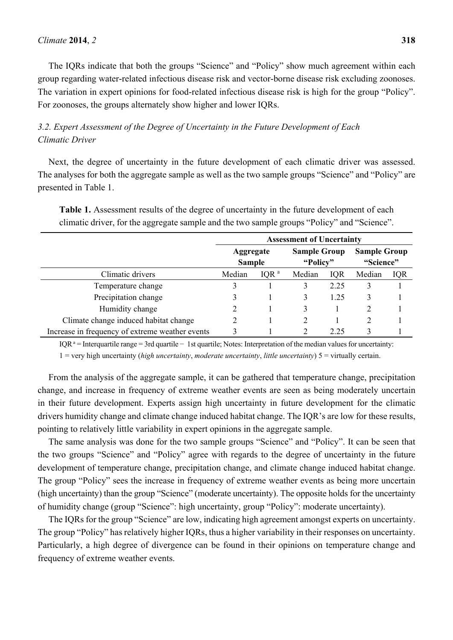The IQRs indicate that both the groups "Science" and "Policy" show much agreement within each group regarding water-related infectious disease risk and vector-borne disease risk excluding zoonoses. The variation in expert opinions for food-related infectious disease risk is high for the group "Policy". For zoonoses, the groups alternately show higher and lower IQRs.

# *3.2. Expert Assessment of the Degree of Uncertainty in the Future Development of Each Climatic Driver*

Next, the degree of uncertainty in the future development of each climatic driver was assessed. The analyses for both the aggregate sample as well as the two sample groups "Science" and "Policy" are presented in Table 1.

|                                       | <b>Assessment of Uncertainty</b> |                                   |        |                                 |        |                                  |  |
|---------------------------------------|----------------------------------|-----------------------------------|--------|---------------------------------|--------|----------------------------------|--|
|                                       |                                  | <b>Aggregate</b><br><b>Sample</b> |        | <b>Sample Group</b><br>"Policy" |        | <b>Sample Group</b><br>"Science" |  |
| Climatic drivers                      | Median                           | IQR <sup>a</sup>                  | Median | <b>IOR</b>                      | Median | <b>IQR</b>                       |  |
| Temperature change                    |                                  |                                   |        | 2.25                            |        |                                  |  |
| Precipitation change                  |                                  |                                   |        | 1.25                            | 3      |                                  |  |
| Humidity change                       |                                  |                                   |        |                                 |        |                                  |  |
| Climate change induced habitat change |                                  |                                   |        |                                 |        |                                  |  |

**Table 1.** Assessment results of the degree of uncertainty in the future development of each climatic driver, for the aggregate sample and the two sample groups "Policy" and "Science".

Increase in frequency of extreme weather events  $\frac{3}{2}$  1  $\frac{2}{2}$  2.25  $\frac{3}{2}$  1 IQR a = Interquartile range = 3rd quartile − 1st quartile; Notes: Interpretation of the median values for uncertainty:

1 = very high uncertainty (*high uncertainty*, *moderate uncertainty*, *little uncertainty*) 5 = virtually certain.

From the analysis of the aggregate sample, it can be gathered that temperature change, precipitation change, and increase in frequency of extreme weather events are seen as being moderately uncertain in their future development. Experts assign high uncertainty in future development for the climatic drivers humidity change and climate change induced habitat change. The IQR's are low for these results, pointing to relatively little variability in expert opinions in the aggregate sample.

The same analysis was done for the two sample groups "Science" and "Policy". It can be seen that the two groups "Science" and "Policy" agree with regards to the degree of uncertainty in the future development of temperature change, precipitation change, and climate change induced habitat change. The group "Policy" sees the increase in frequency of extreme weather events as being more uncertain (high uncertainty) than the group "Science" (moderate uncertainty). The opposite holds for the uncertainty of humidity change (group "Science": high uncertainty, group "Policy": moderate uncertainty).

The IQRs for the group "Science" are low, indicating high agreement amongst experts on uncertainty. The group "Policy" has relatively higher IQRs, thus a higher variability in their responses on uncertainty. Particularly, a high degree of divergence can be found in their opinions on temperature change and frequency of extreme weather events.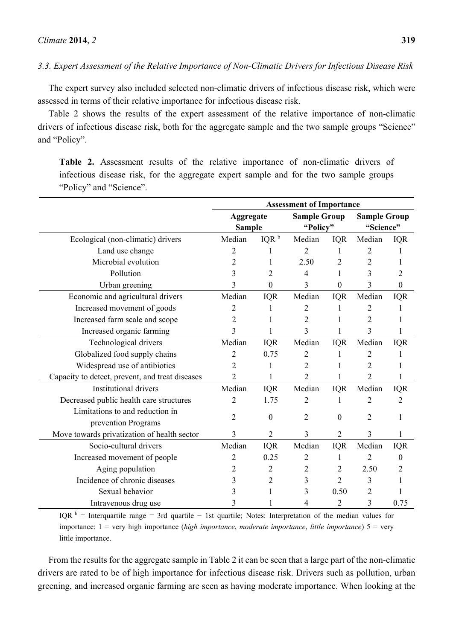The expert survey also included selected non-climatic drivers of infectious disease risk, which were assessed in terms of their relative importance for infectious disease risk.

Table 2 shows the results of the expert assessment of the relative importance of non-climatic drivers of infectious disease risk, both for the aggregate sample and the two sample groups "Science" and "Policy".

**Table 2.** Assessment results of the relative importance of non-climatic drivers of infectious disease risk, for the aggregate expert sample and for the two sample groups "Policy" and "Science".

|                                                        | <b>Assessment of Importance</b>   |                  |                                 |                |                                  |                |
|--------------------------------------------------------|-----------------------------------|------------------|---------------------------------|----------------|----------------------------------|----------------|
|                                                        | <b>Aggregate</b><br><b>Sample</b> |                  | <b>Sample Group</b><br>"Policy" |                | <b>Sample Group</b><br>"Science" |                |
| Ecological (non-climatic) drivers                      | Median                            | IQR <sup>b</sup> | Median                          | <b>IQR</b>     | Median                           | <b>IQR</b>     |
| Land use change                                        | 2                                 |                  | $\overline{2}$                  |                | 2                                |                |
| Microbial evolution                                    | $\overline{2}$                    | 1                | 2.50                            | 2              | $\overline{2}$                   |                |
| Pollution                                              | 3                                 | 2                | 4                               |                | 3                                | 2              |
| Urban greening                                         | 3                                 | $\mathbf{0}$     | 3                               | $\theta$       | 3                                | 0              |
| Economic and agricultural drivers                      | Median                            | <b>IQR</b>       | Median                          | <b>IQR</b>     | Median                           | <b>IQR</b>     |
| Increased movement of goods                            | 2                                 |                  | 2                               |                | 2                                |                |
| Increased farm scale and scope                         | 2                                 |                  | 2                               |                | $\overline{c}$                   |                |
| Increased organic farming                              | 3                                 |                  | 3                               |                | 3                                |                |
| Technological drivers                                  | Median                            | <b>IQR</b>       | Median                          | <b>IQR</b>     | Median                           | <b>IQR</b>     |
| Globalized food supply chains                          | 2                                 | 0.75             | 2                               |                | 2                                |                |
| Widespread use of antibiotics                          | 2                                 | 1                | 2                               |                | 2                                |                |
| Capacity to detect, prevent, and treat diseases        | $\overline{2}$                    | 1                | 2                               |                | 2                                |                |
| <b>Institutional drivers</b>                           | Median                            | <b>IQR</b>       | Median                          | IQR            | Median                           | <b>IQR</b>     |
| Decreased public health care structures                | $\overline{2}$                    | 1.75             | $\overline{2}$                  |                | $\overline{2}$                   | $\overline{2}$ |
| Limitations to and reduction in<br>prevention Programs | 2                                 | $\mathbf{0}$     | 2                               | $\mathbf{0}$   | 2                                |                |
| Move towards privatization of health sector            | 3                                 | $\overline{2}$   | 3                               | $\overline{2}$ | 3                                |                |
| Socio-cultural drivers                                 | Median                            | IQR              | Median                          | IQR            | Median                           | <b>IQR</b>     |
| Increased movement of people                           | 2                                 | 0.25             | 2                               | 1              | 2                                | 0              |
| Aging population                                       | 2                                 | $\overline{2}$   | 2                               | 2              | 2.50                             | 2              |
| Incidence of chronic diseases                          | 3                                 | $\overline{2}$   | 3                               | $\overline{2}$ | 3                                |                |
| Sexual behavior                                        | 3                                 |                  | 3                               | 0.50           | $\overline{2}$                   |                |
| Intravenous drug use                                   | 3                                 |                  | 4                               | $\overline{2}$ | 3                                | 0.75           |

IQR  $\beta$  = Interquartile range = 3rd quartile − 1st quartile; Notes: Interpretation of the median values for importance: 1 = very high importance (*high importance*, *moderate importance*, *little importance*) 5 = very little importance.

From the results for the aggregate sample in Table 2 it can be seen that a large part of the non-climatic drivers are rated to be of high importance for infectious disease risk. Drivers such as pollution, urban greening, and increased organic farming are seen as having moderate importance. When looking at the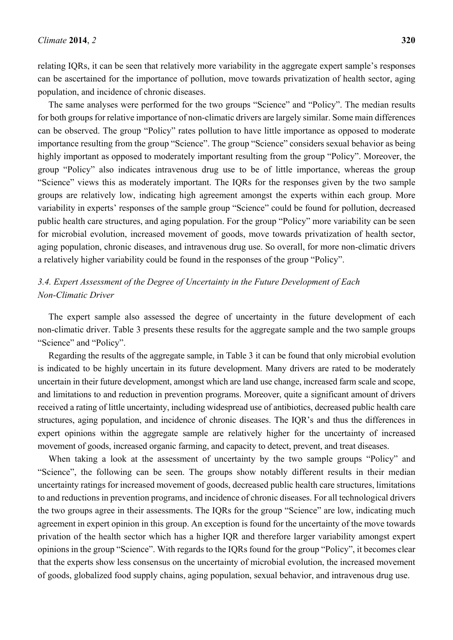population, and incidence of chronic diseases.

relating IQRs, it can be seen that relatively more variability in the aggregate expert sample's responses can be ascertained for the importance of pollution, move towards privatization of health sector, aging

The same analyses were performed for the two groups "Science" and "Policy". The median results for both groups for relative importance of non-climatic drivers are largely similar. Some main differences can be observed. The group "Policy" rates pollution to have little importance as opposed to moderate importance resulting from the group "Science". The group "Science" considers sexual behavior as being highly important as opposed to moderately important resulting from the group "Policy". Moreover, the group "Policy" also indicates intravenous drug use to be of little importance, whereas the group "Science" views this as moderately important. The IQRs for the responses given by the two sample groups are relatively low, indicating high agreement amongst the experts within each group. More variability in experts' responses of the sample group "Science" could be found for pollution, decreased public health care structures, and aging population. For the group "Policy" more variability can be seen for microbial evolution, increased movement of goods, move towards privatization of health sector, aging population, chronic diseases, and intravenous drug use. So overall, for more non-climatic drivers a relatively higher variability could be found in the responses of the group "Policy".

# *3.4. Expert Assessment of the Degree of Uncertainty in the Future Development of Each Non-Climatic Driver*

The expert sample also assessed the degree of uncertainty in the future development of each non-climatic driver. Table 3 presents these results for the aggregate sample and the two sample groups "Science" and "Policy".

Regarding the results of the aggregate sample, in Table 3 it can be found that only microbial evolution is indicated to be highly uncertain in its future development. Many drivers are rated to be moderately uncertain in their future development, amongst which are land use change, increased farm scale and scope, and limitations to and reduction in prevention programs. Moreover, quite a significant amount of drivers received a rating of little uncertainty, including widespread use of antibiotics, decreased public health care structures, aging population, and incidence of chronic diseases. The IQR's and thus the differences in expert opinions within the aggregate sample are relatively higher for the uncertainty of increased movement of goods, increased organic farming, and capacity to detect, prevent, and treat diseases.

When taking a look at the assessment of uncertainty by the two sample groups "Policy" and "Science", the following can be seen. The groups show notably different results in their median uncertainty ratings for increased movement of goods, decreased public health care structures, limitations to and reductions in prevention programs, and incidence of chronic diseases. For all technological drivers the two groups agree in their assessments. The IQRs for the group "Science" are low, indicating much agreement in expert opinion in this group. An exception is found for the uncertainty of the move towards privation of the health sector which has a higher IQR and therefore larger variability amongst expert opinions in the group "Science". With regards to the IQRs found for the group "Policy", it becomes clear that the experts show less consensus on the uncertainty of microbial evolution, the increased movement of goods, globalized food supply chains, aging population, sexual behavior, and intravenous drug use.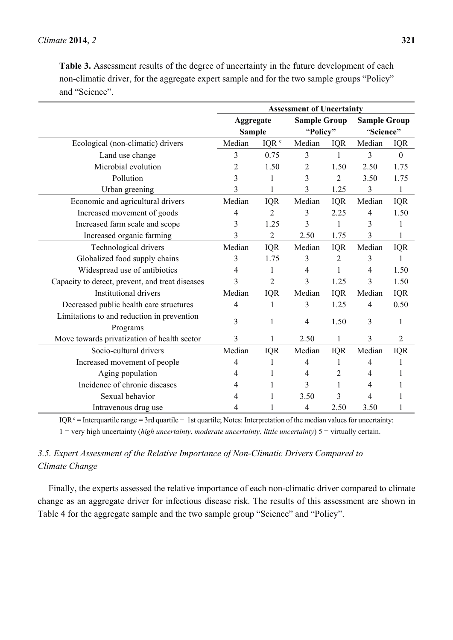**Table 3.** Assessment results of the degree of uncertainty in the future development of each non-climatic driver, for the aggregate expert sample and for the two sample groups "Policy" and "Science".

|                                                        | <b>Assessment of Uncertainty</b> |                  |                     |                |                     |                |
|--------------------------------------------------------|----------------------------------|------------------|---------------------|----------------|---------------------|----------------|
|                                                        | Aggregate                        |                  | <b>Sample Group</b> |                | <b>Sample Group</b> |                |
|                                                        | <b>Sample</b>                    |                  | "Policy"            |                | "Science"           |                |
| Ecological (non-climatic) drivers                      | Median                           | IQR <sup>c</sup> | Median              | <b>IQR</b>     | Median              | <b>IQR</b>     |
| Land use change                                        | 3                                | 0.75             | 3                   | $\mathbf{1}$   | 3                   | $\mathbf{0}$   |
| Microbial evolution                                    | 2                                | 1.50             | $\overline{2}$      | 1.50           | 2.50                | 1.75           |
| Pollution                                              | 3                                | 1                | 3                   | $\overline{2}$ | 3.50                | 1.75           |
| Urban greening                                         | 3                                | 1                | 3                   | 1.25           | 3                   | 1              |
| Economic and agricultural drivers                      | Median                           | <b>IQR</b>       | Median              | <b>IQR</b>     | Median              | <b>IQR</b>     |
| Increased movement of goods                            | 4                                | 2                | 3                   | 2.25           | $\overline{4}$      | 1.50           |
| Increased farm scale and scope                         | 3                                | 1.25             | 3                   | 1              | 3                   | 1              |
| Increased organic farming                              | 3                                | $\overline{2}$   | 2.50                | 1.75           | 3                   | 1              |
| Technological drivers                                  | Median                           | <b>IQR</b>       | Median              | <b>IQR</b>     | Median              | <b>IQR</b>     |
| Globalized food supply chains                          | 3                                | 1.75             | 3                   | $\overline{2}$ | 3                   | 1              |
| Widespread use of antibiotics                          | 4                                |                  | 4                   | 1              | $\overline{4}$      | 1.50           |
| Capacity to detect, prevent, and treat diseases        | 3                                | 2                | 3                   | 1.25           | 3                   | 1.50           |
| <b>Institutional drivers</b>                           | Median                           | <b>IQR</b>       | Median              | <b>IQR</b>     | Median              | <b>IQR</b>     |
| Decreased public health care structures                | 4                                | 1                | 3                   | 1.25           | 4                   | 0.50           |
| Limitations to and reduction in prevention<br>Programs | 3                                | 1                | 4                   | 1.50           | 3                   | 1              |
| Move towards privatization of health sector            | 3                                |                  | 2.50                | 1              | 3                   | $\overline{2}$ |
| Socio-cultural drivers                                 | Median                           | IQR              | Median              | <b>IQR</b>     | Median              | <b>IQR</b>     |
| Increased movement of people                           | 4                                | 1                | 4                   |                | 4                   |                |
| Aging population                                       | 4                                |                  | 4                   | 2              | 4                   |                |
| Incidence of chronic diseases                          | 4                                |                  | 3                   | 1              | 4                   |                |
| Sexual behavior                                        | 4                                |                  | 3.50                | 3              | 4                   |                |
| Intravenous drug use                                   | 4                                |                  | 4                   | 2.50           | 3.50                |                |

IQR<sup>c</sup> = Interquartile range = 3rd quartile − 1st quartile; Notes: Interpretation of the median values for uncertainty: 1 = very high uncertainty (*high uncertainty*, *moderate uncertainty*, *little uncertainty*) 5 = virtually certain.

# *3.5. Expert Assessment of the Relative Importance of Non-Climatic Drivers Compared to Climate Change*

Finally, the experts assessed the relative importance of each non-climatic driver compared to climate change as an aggregate driver for infectious disease risk. The results of this assessment are shown in Table 4 for the aggregate sample and the two sample group "Science" and "Policy".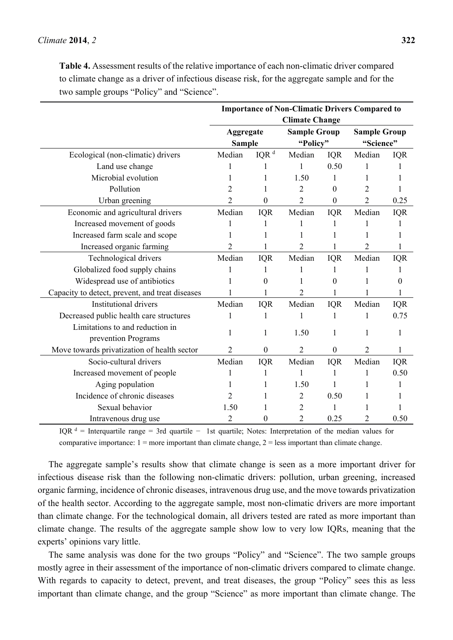**Table 4.** Assessment results of the relative importance of each non-climatic driver compared to climate change as a driver of infectious disease risk, for the aggregate sample and for the two sample groups "Policy" and "Science".

|                                                 | <b>Importance of Non-Climatic Drivers Compared to</b> |                    |                     |            |                     |            |  |
|-------------------------------------------------|-------------------------------------------------------|--------------------|---------------------|------------|---------------------|------------|--|
|                                                 | <b>Climate Change</b>                                 |                    |                     |            |                     |            |  |
|                                                 | Aggregate                                             |                    | <b>Sample Group</b> |            | <b>Sample Group</b> |            |  |
|                                                 | <b>Sample</b>                                         |                    | "Policy"            |            | "Science"           |            |  |
| Ecological (non-climatic) drivers               | Median                                                | $IQR$ <sup>d</sup> | Median              | <b>IQR</b> | Median              | <b>IQR</b> |  |
| Land use change                                 |                                                       |                    | 1                   | 0.50       |                     |            |  |
| Microbial evolution                             |                                                       |                    | 1.50                |            |                     |            |  |
| Pollution                                       | 2                                                     |                    | $\overline{2}$      | 0          | 2                   |            |  |
| Urban greening                                  | 2                                                     | $\theta$           | 2                   | $\theta$   | $\overline{2}$      | 0.25       |  |
| Economic and agricultural drivers               | Median                                                | <b>IQR</b>         | Median              | <b>IQR</b> | Median              | <b>IQR</b> |  |
| Increased movement of goods                     |                                                       |                    |                     |            |                     |            |  |
| Increased farm scale and scope                  |                                                       |                    |                     |            |                     |            |  |
| Increased organic farming                       | 2                                                     |                    | 2                   |            | 2                   |            |  |
| Technological drivers                           | Median                                                | <b>IQR</b>         | Median              | <b>IQR</b> | Median              | <b>IQR</b> |  |
| Globalized food supply chains                   |                                                       |                    |                     |            |                     |            |  |
| Widespread use of antibiotics                   |                                                       | $\theta$           |                     | 0          |                     | 0          |  |
| Capacity to detect, prevent, and treat diseases |                                                       |                    | 2                   |            |                     |            |  |
| <b>Institutional drivers</b>                    | Median                                                | <b>IQR</b>         | Median              | <b>IQR</b> | Median              | <b>IQR</b> |  |
| Decreased public health care structures         | 1                                                     | 1                  |                     |            | 1                   | 0.75       |  |
| Limitations to and reduction in                 |                                                       | 1                  |                     |            | 1                   |            |  |
| prevention Programs                             |                                                       |                    | 1.50                |            |                     |            |  |
| Move towards privatization of health sector     | $\overline{2}$                                        | $\theta$           | 2                   | $\Omega$   | $\overline{2}$      |            |  |
| Socio-cultural drivers                          | Median                                                | <b>IQR</b>         | Median              | <b>IQR</b> | Median              | <b>IQR</b> |  |
| Increased movement of people                    |                                                       |                    | 1                   | 1          | 1                   | 0.50       |  |
| Aging population                                |                                                       | 1                  | 1.50                | 1          | 1                   | 1          |  |
| Incidence of chronic diseases                   | 2                                                     | 1                  | $\overline{2}$      | 0.50       |                     |            |  |
| Sexual behavior                                 | 1.50                                                  | 1                  | 2                   | 1          |                     |            |  |
| Intravenous drug use                            | 2                                                     | 0                  | 2                   | 0.25       | 2                   | 0.50       |  |

IQR d = Interquartile range = 3rd quartile − 1st quartile; Notes: Interpretation of the median values for comparative importance:  $1 =$  more important than climate change,  $2 =$  less important than climate change.

The aggregate sample's results show that climate change is seen as a more important driver for infectious disease risk than the following non-climatic drivers: pollution, urban greening, increased organic farming, incidence of chronic diseases, intravenous drug use, and the move towards privatization of the health sector. According to the aggregate sample, most non-climatic drivers are more important than climate change. For the technological domain, all drivers tested are rated as more important than climate change. The results of the aggregate sample show low to very low IQRs, meaning that the experts' opinions vary little.

The same analysis was done for the two groups "Policy" and "Science". The two sample groups mostly agree in their assessment of the importance of non-climatic drivers compared to climate change. With regards to capacity to detect, prevent, and treat diseases, the group "Policy" sees this as less important than climate change, and the group "Science" as more important than climate change. The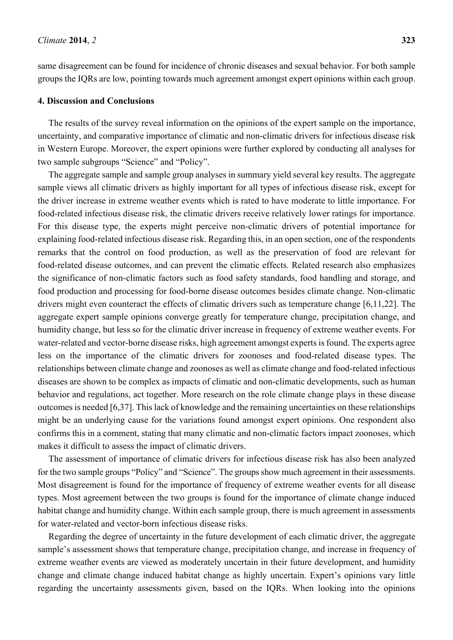same disagreement can be found for incidence of chronic diseases and sexual behavior. For both sample groups the IQRs are low, pointing towards much agreement amongst expert opinions within each group.

#### **4. Discussion and Conclusions**

The results of the survey reveal information on the opinions of the expert sample on the importance, uncertainty, and comparative importance of climatic and non-climatic drivers for infectious disease risk in Western Europe. Moreover, the expert opinions were further explored by conducting all analyses for two sample subgroups "Science" and "Policy".

The aggregate sample and sample group analyses in summary yield several key results. The aggregate sample views all climatic drivers as highly important for all types of infectious disease risk, except for the driver increase in extreme weather events which is rated to have moderate to little importance. For food-related infectious disease risk, the climatic drivers receive relatively lower ratings for importance. For this disease type, the experts might perceive non-climatic drivers of potential importance for explaining food-related infectious disease risk. Regarding this, in an open section, one of the respondents remarks that the control on food production, as well as the preservation of food are relevant for food-related disease outcomes, and can prevent the climatic effects. Related research also emphasizes the significance of non-climatic factors such as food safety standards, food handling and storage, and food production and processing for food-borne disease outcomes besides climate change. Non-climatic drivers might even counteract the effects of climatic drivers such as temperature change [6,11,22]. The aggregate expert sample opinions converge greatly for temperature change, precipitation change, and humidity change, but less so for the climatic driver increase in frequency of extreme weather events. For water-related and vector-borne disease risks, high agreement amongst experts is found. The experts agree less on the importance of the climatic drivers for zoonoses and food-related disease types. The relationships between climate change and zoonoses as well as climate change and food-related infectious diseases are shown to be complex as impacts of climatic and non-climatic developments, such as human behavior and regulations, act together. More research on the role climate change plays in these disease outcomes is needed [6,37]. This lack of knowledge and the remaining uncertainties on these relationships might be an underlying cause for the variations found amongst expert opinions. One respondent also confirms this in a comment, stating that many climatic and non-climatic factors impact zoonoses, which makes it difficult to assess the impact of climatic drivers.

The assessment of importance of climatic drivers for infectious disease risk has also been analyzed for the two sample groups "Policy" and "Science". The groups show much agreement in their assessments. Most disagreement is found for the importance of frequency of extreme weather events for all disease types. Most agreement between the two groups is found for the importance of climate change induced habitat change and humidity change. Within each sample group, there is much agreement in assessments for water-related and vector-born infectious disease risks.

Regarding the degree of uncertainty in the future development of each climatic driver, the aggregate sample's assessment shows that temperature change, precipitation change, and increase in frequency of extreme weather events are viewed as moderately uncertain in their future development, and humidity change and climate change induced habitat change as highly uncertain. Expert's opinions vary little regarding the uncertainty assessments given, based on the IQRs. When looking into the opinions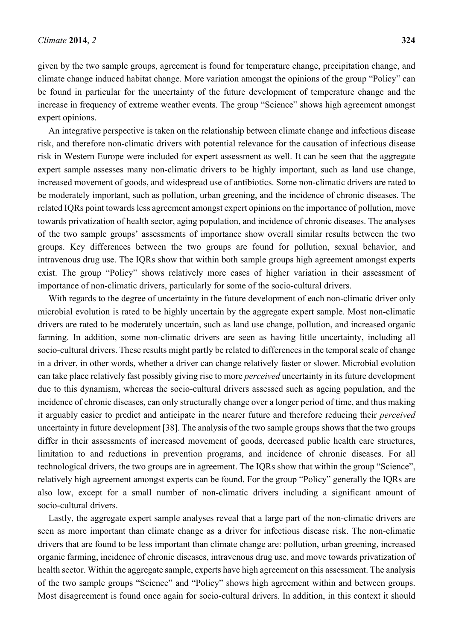given by the two sample groups, agreement is found for temperature change, precipitation change, and climate change induced habitat change. More variation amongst the opinions of the group "Policy" can be found in particular for the uncertainty of the future development of temperature change and the increase in frequency of extreme weather events. The group "Science" shows high agreement amongst expert opinions.

An integrative perspective is taken on the relationship between climate change and infectious disease risk, and therefore non-climatic drivers with potential relevance for the causation of infectious disease risk in Western Europe were included for expert assessment as well. It can be seen that the aggregate expert sample assesses many non-climatic drivers to be highly important, such as land use change, increased movement of goods, and widespread use of antibiotics. Some non-climatic drivers are rated to be moderately important, such as pollution, urban greening, and the incidence of chronic diseases. The related IQRs point towards less agreement amongst expert opinions on the importance of pollution, move towards privatization of health sector, aging population, and incidence of chronic diseases. The analyses of the two sample groups' assessments of importance show overall similar results between the two groups. Key differences between the two groups are found for pollution, sexual behavior, and intravenous drug use. The IQRs show that within both sample groups high agreement amongst experts exist. The group "Policy" shows relatively more cases of higher variation in their assessment of importance of non-climatic drivers, particularly for some of the socio-cultural drivers.

With regards to the degree of uncertainty in the future development of each non-climatic driver only microbial evolution is rated to be highly uncertain by the aggregate expert sample. Most non-climatic drivers are rated to be moderately uncertain, such as land use change, pollution, and increased organic farming. In addition, some non-climatic drivers are seen as having little uncertainty, including all socio-cultural drivers. These results might partly be related to differences in the temporal scale of change in a driver, in other words, whether a driver can change relatively faster or slower. Microbial evolution can take place relatively fast possibly giving rise to more *perceived* uncertainty in its future development due to this dynamism, whereas the socio-cultural drivers assessed such as ageing population, and the incidence of chronic diseases, can only structurally change over a longer period of time, and thus making it arguably easier to predict and anticipate in the nearer future and therefore reducing their *perceived*  uncertainty in future development [38]. The analysis of the two sample groups shows that the two groups differ in their assessments of increased movement of goods, decreased public health care structures, limitation to and reductions in prevention programs, and incidence of chronic diseases. For all technological drivers, the two groups are in agreement. The IQRs show that within the group "Science", relatively high agreement amongst experts can be found. For the group "Policy" generally the IQRs are also low, except for a small number of non-climatic drivers including a significant amount of socio-cultural drivers.

Lastly, the aggregate expert sample analyses reveal that a large part of the non-climatic drivers are seen as more important than climate change as a driver for infectious disease risk. The non-climatic drivers that are found to be less important than climate change are: pollution, urban greening, increased organic farming, incidence of chronic diseases, intravenous drug use, and move towards privatization of health sector. Within the aggregate sample, experts have high agreement on this assessment. The analysis of the two sample groups "Science" and "Policy" shows high agreement within and between groups. Most disagreement is found once again for socio-cultural drivers. In addition, in this context it should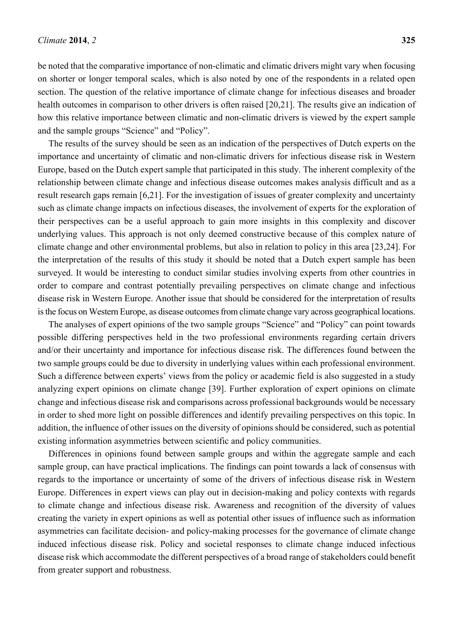be noted that the comparative importance of non-climatic and climatic drivers might vary when focusing on shorter or longer temporal scales, which is also noted by one of the respondents in a related open section. The question of the relative importance of climate change for infectious diseases and broader health outcomes in comparison to other drivers is often raised [20,21]. The results give an indication of how this relative importance between climatic and non-climatic drivers is viewed by the expert sample and the sample groups "Science" and "Policy".

The results of the survey should be seen as an indication of the perspectives of Dutch experts on the importance and uncertainty of climatic and non-climatic drivers for infectious disease risk in Western Europe, based on the Dutch expert sample that participated in this study. The inherent complexity of the relationship between climate change and infectious disease outcomes makes analysis difficult and as a result research gaps remain [6,21]. For the investigation of issues of greater complexity and uncertainty such as climate change impacts on infectious diseases, the involvement of experts for the exploration of their perspectives can be a useful approach to gain more insights in this complexity and discover underlying values. This approach is not only deemed constructive because of this complex nature of climate change and other environmental problems, but also in relation to policy in this area [23,24]. For the interpretation of the results of this study it should be noted that a Dutch expert sample has been surveyed. It would be interesting to conduct similar studies involving experts from other countries in order to compare and contrast potentially prevailing perspectives on climate change and infectious disease risk in Western Europe. Another issue that should be considered for the interpretation of results is the focus on Western Europe, as disease outcomes from climate change vary across geographical locations.

The analyses of expert opinions of the two sample groups "Science" and "Policy" can point towards possible differing perspectives held in the two professional environments regarding certain drivers and/or their uncertainty and importance for infectious disease risk. The differences found between the two sample groups could be due to diversity in underlying values within each professional environment. Such a difference between experts' views from the policy or academic field is also suggested in a study analyzing expert opinions on climate change [39]. Further exploration of expert opinions on climate change and infectious disease risk and comparisons across professional backgrounds would be necessary in order to shed more light on possible differences and identify prevailing perspectives on this topic. In addition, the influence of other issues on the diversity of opinions should be considered, such as potential existing information asymmetries between scientific and policy communities.

Differences in opinions found between sample groups and within the aggregate sample and each sample group, can have practical implications. The findings can point towards a lack of consensus with regards to the importance or uncertainty of some of the drivers of infectious disease risk in Western Europe. Differences in expert views can play out in decision-making and policy contexts with regards to climate change and infectious disease risk. Awareness and recognition of the diversity of values creating the variety in expert opinions as well as potential other issues of influence such as information asymmetries can facilitate decision- and policy-making processes for the governance of climate change induced infectious disease risk. Policy and societal responses to climate change induced infectious disease risk which accommodate the different perspectives of a broad range of stakeholders could benefit from greater support and robustness.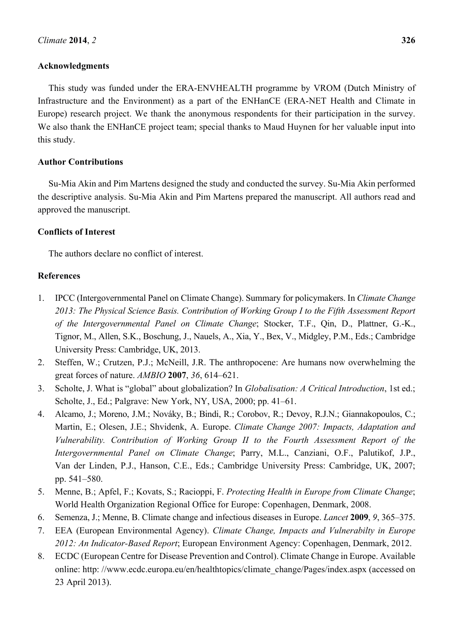## **Acknowledgments**

This study was funded under the ERA-ENVHEALTH programme by VROM (Dutch Ministry of Infrastructure and the Environment) as a part of the ENHanCE (ERA-NET Health and Climate in Europe) research project. We thank the anonymous respondents for their participation in the survey. We also thank the ENHanCE project team; special thanks to Maud Huynen for her valuable input into this study.

## **Author Contributions**

Su-Mia Akin and Pim Martens designed the study and conducted the survey. Su-Mia Akin performed the descriptive analysis. Su-Mia Akin and Pim Martens prepared the manuscript. All authors read and approved the manuscript.

## **Conflicts of Interest**

The authors declare no conflict of interest.

## **References**

- 1. IPCC (Intergovernmental Panel on Climate Change). Summary for policymakers. In *Climate Change 2013: The Physical Science Basis. Contribution of Working Group I to the Fifth Assessment Report of the Intergovernmental Panel on Climate Change*; Stocker, T.F., Qin, D., Plattner, G.-K., Tignor, M., Allen, S.K., Boschung, J., Nauels, A., Xia, Y., Bex, V., Midgley, P.M., Eds.; Cambridge University Press: Cambridge, UK, 2013.
- 2. Steffen, W.; Crutzen, P.J.; McNeill, J.R. The anthropocene: Are humans now overwhelming the great forces of nature. *AMBIO* **2007**, *36*, 614–621.
- 3. Scholte, J. What is "global" about globalization? In *Globalisation: A Critical Introduction*, 1st ed.; Scholte, J., Ed.; Palgrave: New York, NY, USA, 2000; pp. 41–61.
- 4. Alcamo, J.; Moreno, J.M.; Nováky, B.; Bindi, R.; Corobov, R.; Devoy, R.J.N.; Giannakopoulos, C.; Martin, E.; Olesen, J.E.; Shvidenk, A. Europe. *Climate Change 2007: Impacts, Adaptation and Vulnerability. Contribution of Working Group II to the Fourth Assessment Report of the Intergovernmental Panel on Climate Change*; Parry, M.L., Canziani, O.F., Palutikof, J.P., Van der Linden, P.J., Hanson, C.E., Eds.; Cambridge University Press: Cambridge, UK, 2007; pp. 541–580.
- 5. Menne, B.; Apfel, F.; Kovats, S.; Racioppi, F. *Protecting Health in Europe from Climate Change*; World Health Organization Regional Office for Europe: Copenhagen, Denmark, 2008.
- 6. Semenza, J.; Menne, B. Climate change and infectious diseases in Europe. *Lancet* **2009**, *9*, 365–375.
- 7. EEA (European Environmental Agency). *Climate Change, Impacts and Vulnerabilty in Europe 2012: An Indicator-Based Report*; European Environment Agency: Copenhagen, Denmark, 2012.
- 8. ECDC (European Centre for Disease Prevention and Control). Climate Change in Europe. Available online: http://www.ecdc.europa.eu/en/healthtopics/climate\_change/Pages/index.aspx (accessed on 23 April 2013).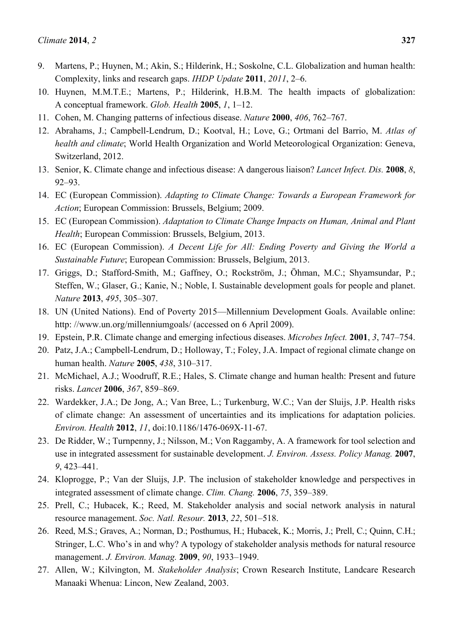- 9. Martens, P.; Huynen, M.; Akin, S.; Hilderink, H.; Soskolne, C.L. Globalization and human health: Complexity, links and research gaps. *IHDP Update* **2011**, *2011*, 2–6.
- 10. Huynen, M.M.T.E.; Martens, P.; Hilderink, H.B.M. The health impacts of globalization: A conceptual framework. *Glob. Health* **2005**, *1*, 1–12.
- 11. Cohen, M. Changing patterns of infectious disease. *Nature* **2000**, *406*, 762–767.
- 12. Abrahams, J.; Campbell-Lendrum, D.; Kootval, H.; Love, G.; Ortmani del Barrio, M. *Atlas of health and climate*; World Health Organization and World Meteorological Organization: Geneva, Switzerland, 2012.
- 13. Senior, K. Climate change and infectious disease: A dangerous liaison? *Lancet Infect. Dis.* **2008**, *8*, 92–93.
- 14. EC (European Commission). *Adapting to Climate Change: Towards a European Framework for Action*; European Commission: Brussels, Belgium; 2009.
- 15. EC (European Commission). *Adaptation to Climate Change Impacts on Human, Animal and Plant Health*; European Commission: Brussels, Belgium, 2013.
- 16. EC (European Commission). *A Decent Life for All: Ending Poverty and Giving the World a Sustainable Future*; European Commission: Brussels, Belgium, 2013.
- 17. Griggs, D.; Stafford-Smith, M.; Gaffney, O.; Rockström, J.; Öhman, M.C.; Shyamsundar, P.; Steffen, W.; Glaser, G.; Kanie, N.; Noble, I. Sustainable development goals for people and planet. *Nature* **2013**, *495*, 305–307.
- 18. UN (United Nations). End of Poverty 2015—Millennium Development Goals. Available online: http://www.un.org/millenniumgoals/ (accessed on 6 April 2009).
- 19. Epstein, P.R. Climate change and emerging infectious diseases. *Microbes Infect.* **2001**, *3*, 747–754.
- 20. Patz, J.A.; Campbell-Lendrum, D.; Holloway, T.; Foley, J.A. Impact of regional climate change on human health. *Nature* **2005**, *438*, 310–317.
- 21. McMichael, A.J.; Woodruff, R.E.; Hales, S. Climate change and human health: Present and future risks. *Lancet* **2006**, *367*, 859–869.
- 22. Wardekker, J.A.; De Jong, A.; Van Bree, L.; Turkenburg, W.C.; Van der Sluijs, J.P. Health risks of climate change: An assessment of uncertainties and its implications for adaptation policies. *Environ. Health* **2012**, *11*, doi:10.1186/1476-069X-11-67.
- 23. De Ridder, W.; Turnpenny, J.; Nilsson, M.; Von Raggamby, A. A framework for tool selection and use in integrated assessment for sustainable development. *J. Environ. Assess. Policy Manag.* **2007**, *9*, 423–441.
- 24. Kloprogge, P.; Van der Sluijs, J.P. The inclusion of stakeholder knowledge and perspectives in integrated assessment of climate change. *Clim. Chang.* **2006**, *75*, 359–389.
- 25. Prell, C.; Hubacek, K.; Reed, M. Stakeholder analysis and social network analysis in natural resource management. *Soc. Natl. Resour.* **2013**, *22*, 501–518.
- 26. Reed, M.S.; Graves, A.; Norman, D.; Posthumus, H.; Hubacek, K.; Morris, J.; Prell, C.; Quinn, C.H.; Stringer, L.C. Who's in and why? A typology of stakeholder analysis methods for natural resource management. *J. Environ. Manag.* **2009**, *90*, 1933–1949.
- 27. Allen, W.; Kilvington, M. *Stakeholder Analysis*; Crown Research Institute, Landcare Research Manaaki Whenua: Lincon, New Zealand, 2003.